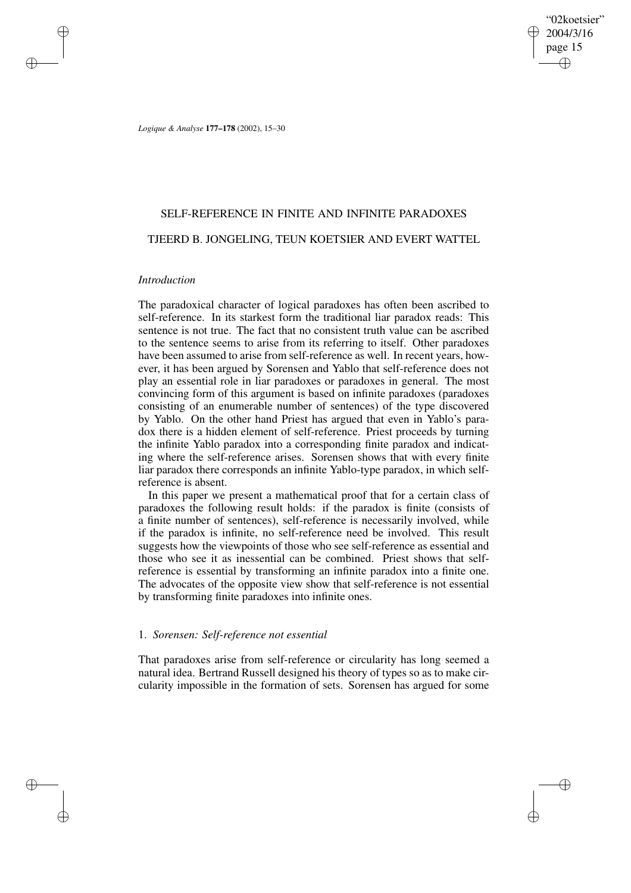"02koetsier" 2004/3/16 page 15 ✐ ✐

✐

✐

*Logique & Analyse* **177–178** (2002), 15–30

## SELF-REFERENCE IN FINITE AND INFINITE PARADOXES

### TJEERD B. JONGELING, TEUN KOETSIER AND EVERT WATTEL

### *Introduction*

✐

✐

✐

✐

The paradoxical character of logical paradoxes has often been ascribed to self-reference. In its starkest form the traditional liar paradox reads: This sentence is not true. The fact that no consistent truth value can be ascribed to the sentence seems to arise from its referring to itself. Other paradoxes have been assumed to arise from self-reference as well. In recent years, however, it has been argued by Sorensen and Yablo that self-reference does not play an essential role in liar paradoxes or paradoxes in general. The most convincing form of this argument is based on infinite paradoxes (paradoxes consisting of an enumerable number of sentences) of the type discovered by Yablo. On the other hand Priest has argued that even in Yablo's paradox there is a hidden element of self-reference. Priest proceeds by turning the infinite Yablo paradox into a corresponding finite paradox and indicating where the self-reference arises. Sorensen shows that with every finite liar paradox there corresponds an infinite Yablo-type paradox, in which selfreference is absent.

In this paper we present a mathematical proof that for a certain class of paradoxes the following result holds: if the paradox is finite (consists of a finite number of sentences), self-reference is necessarily involved, while if the paradox is infinite, no self-reference need be involved. This result suggests how the viewpoints of those who see self-reference as essential and those who see it as inessential can be combined. Priest shows that selfreference is essential by transforming an infinite paradox into a finite one. The advocates of the opposite view show that self-reference is not essential by transforming finite paradoxes into infinite ones.

# 1. *Sorensen: Self-reference not essential*

That paradoxes arise from self-reference or circularity has long seemed a natural idea. Bertrand Russell designed his theory of types so as to make circularity impossible in the formation of sets. Sorensen has argued for some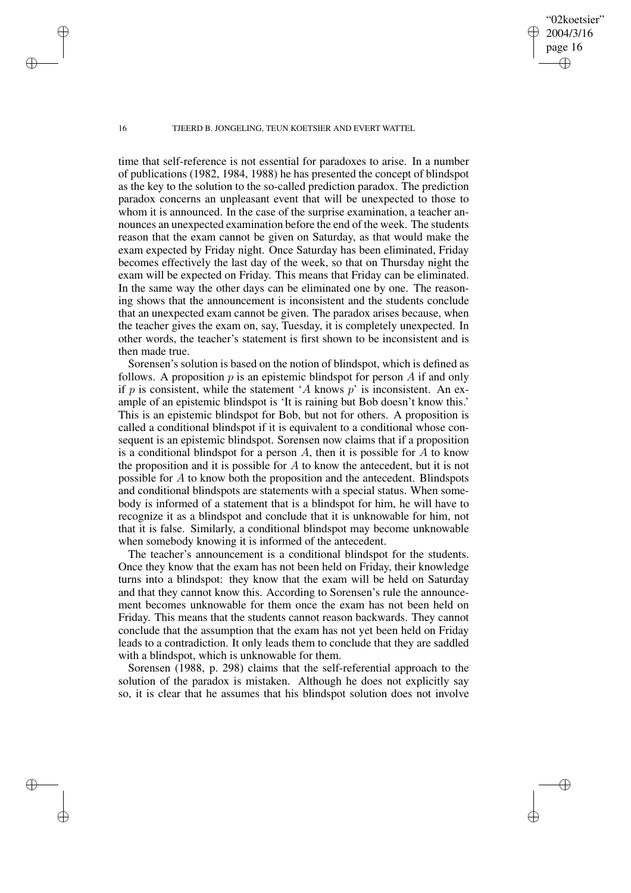"02koetsier" 2004/3/16 page 16

✐

✐

✐

✐

time that self-reference is not essential for paradoxes to arise. In a number of publications (1982, 1984, 1988) he has presented the concept of blindspot as the key to the solution to the so-called prediction paradox. The prediction paradox concerns an unpleasant event that will be unexpected to those to whom it is announced. In the case of the surprise examination, a teacher announces an unexpected examination before the end of the week. The students reason that the exam cannot be given on Saturday, as that would make the exam expected by Friday night. Once Saturday has been eliminated, Friday becomes effectively the last day of the week, so that on Thursday night the exam will be expected on Friday. This means that Friday can be eliminated. In the same way the other days can be eliminated one by one. The reasoning shows that the announcement is inconsistent and the students conclude that an unexpected exam cannot be given. The paradox arises because, when the teacher gives the exam on, say, Tuesday, it is completely unexpected. In other words, the teacher's statement is first shown to be inconsistent and is then made true.

Sorensen's solution is based on the notion of blindspot, which is defined as follows. A proposition  $p$  is an epistemic blindspot for person  $A$  if and only if p is consistent, while the statement 'A knows  $p'$  is inconsistent. An example of an epistemic blindspot is 'It is raining but Bob doesn't know this.' This is an epistemic blindspot for Bob, but not for others. A proposition is called a conditional blindspot if it is equivalent to a conditional whose consequent is an epistemic blindspot. Sorensen now claims that if a proposition is a conditional blindspot for a person  $A$ , then it is possible for  $A$  to know the proposition and it is possible for  $A$  to know the antecedent, but it is not possible for A to know both the proposition and the antecedent. Blindspots and conditional blindspots are statements with a special status. When somebody is informed of a statement that is a blindspot for him, he will have to recognize it as a blindspot and conclude that it is unknowable for him, not that it is false. Similarly, a conditional blindspot may become unknowable when somebody knowing it is informed of the antecedent.

The teacher's announcement is a conditional blindspot for the students. Once they know that the exam has not been held on Friday, their knowledge turns into a blindspot: they know that the exam will be held on Saturday and that they cannot know this. According to Sorensen's rule the announcement becomes unknowable for them once the exam has not been held on Friday. This means that the students cannot reason backwards. They cannot conclude that the assumption that the exam has not yet been held on Friday leads to a contradiction. It only leads them to conclude that they are saddled with a blindspot, which is unknowable for them.

Sorensen (1988, p. 298) claims that the self-referential approach to the solution of the paradox is mistaken. Although he does not explicitly say so, it is clear that he assumes that his blindspot solution does not involve

✐

✐

✐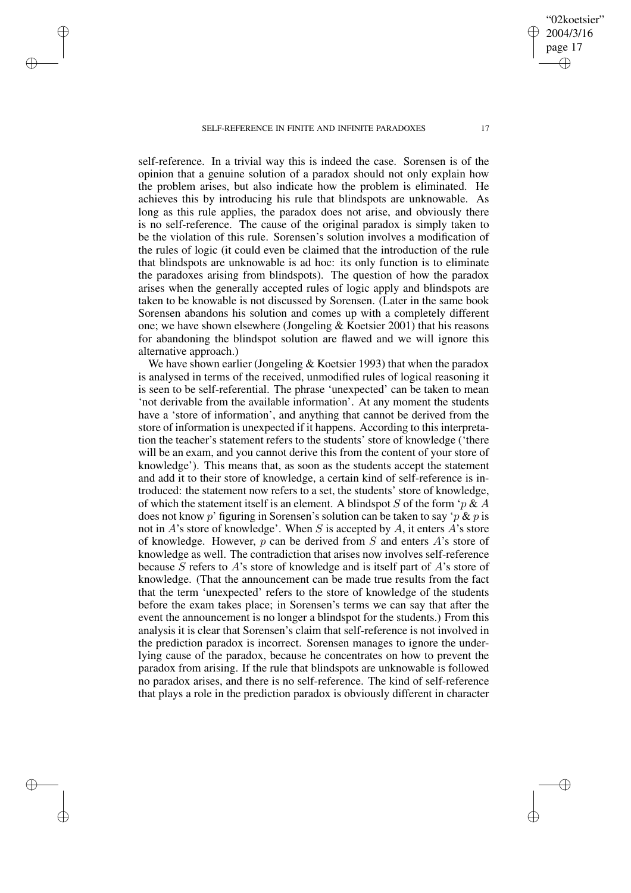✐

✐

✐

✐

self-reference. In a trivial way this is indeed the case. Sorensen is of the opinion that a genuine solution of a paradox should not only explain how the problem arises, but also indicate how the problem is eliminated. He achieves this by introducing his rule that blindspots are unknowable. As long as this rule applies, the paradox does not arise, and obviously there is no self-reference. The cause of the original paradox is simply taken to be the violation of this rule. Sorensen's solution involves a modification of the rules of logic (it could even be claimed that the introduction of the rule that blindspots are unknowable is ad hoc: its only function is to eliminate the paradoxes arising from blindspots). The question of how the paradox arises when the generally accepted rules of logic apply and blindspots are taken to be knowable is not discussed by Sorensen. (Later in the same book Sorensen abandons his solution and comes up with a completely different one; we have shown elsewhere (Jongeling & Koetsier 2001) that his reasons for abandoning the blindspot solution are flawed and we will ignore this alternative approach.)

We have shown earlier (Jongeling & Koetsier 1993) that when the paradox is analysed in terms of the received, unmodified rules of logical reasoning it is seen to be self-referential. The phrase 'unexpected' can be taken to mean 'not derivable from the available information'. At any moment the students have a 'store of information', and anything that cannot be derived from the store of information is unexpected if it happens. According to this interpretation the teacher's statement refers to the students' store of knowledge ('there will be an exam, and you cannot derive this from the content of your store of knowledge'). This means that, as soon as the students accept the statement and add it to their store of knowledge, a certain kind of self-reference is introduced: the statement now refers to a set, the students' store of knowledge, of which the statement itself is an element. A blindspot S of the form ' $p \& A$ does not know p' figuring in Sorensen's solution can be taken to say 'p  $\&$  p is not in A's store of knowledge'. When S is accepted by A, it enters A's store of knowledge. However,  $p$  can be derived from  $S$  and enters  $A$ 's store of knowledge as well. The contradiction that arises now involves self-reference because S refers to A's store of knowledge and is itself part of A's store of knowledge. (That the announcement can be made true results from the fact that the term 'unexpected' refers to the store of knowledge of the students before the exam takes place; in Sorensen's terms we can say that after the event the announcement is no longer a blindspot for the students.) From this analysis it is clear that Sorensen's claim that self-reference is not involved in the prediction paradox is incorrect. Sorensen manages to ignore the underlying cause of the paradox, because he concentrates on how to prevent the paradox from arising. If the rule that blindspots are unknowable is followed no paradox arises, and there is no self-reference. The kind of self-reference that plays a role in the prediction paradox is obviously different in character

"02koetsier" 2004/3/16 page 17

✐

✐

✐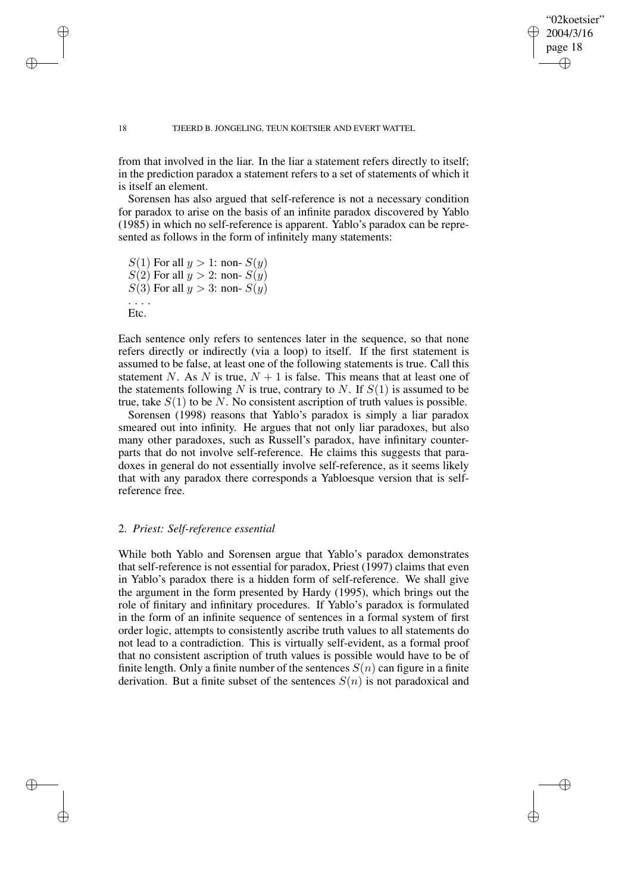### "02koetsier" 2004/3/16 page 18 ✐ ✐

✐

✐

#### 18 TJEERD B. JONGELING, TEUN KOETSIER AND EVERT WATTEL

from that involved in the liar. In the liar a statement refers directly to itself; in the prediction paradox a statement refers to a set of statements of which it is itself an element.

Sorensen has also argued that self-reference is not a necessary condition for paradox to arise on the basis of an infinite paradox discovered by Yablo (1985) in which no self-reference is apparent. Yablo's paradox can be represented as follows in the form of infinitely many statements:

```
S(1) For all y > 1: non- S(y)S(2) For all y > 2: non- S(y)S(3) For all y > 3: non- S(y). . . .
Etc.
```
✐

✐

✐

✐

Each sentence only refers to sentences later in the sequence, so that none refers directly or indirectly (via a loop) to itself. If the first statement is assumed to be false, at least one of the following statements is true. Call this statement N. As N is true,  $N + 1$  is false. This means that at least one of the statements following N is true, contrary to N. If  $S(1)$  is assumed to be true, take  $S(1)$  to be N. No consistent ascription of truth values is possible.

Sorensen (1998) reasons that Yablo's paradox is simply a liar paradox smeared out into infinity. He argues that not only liar paradoxes, but also many other paradoxes, such as Russell's paradox, have infinitary counterparts that do not involve self-reference. He claims this suggests that paradoxes in general do not essentially involve self-reference, as it seems likely that with any paradox there corresponds a Yabloesque version that is selfreference free.

## 2. *Priest: Self-reference essential*

While both Yablo and Sorensen argue that Yablo's paradox demonstrates that self-reference is not essential for paradox, Priest (1997) claims that even in Yablo's paradox there is a hidden form of self-reference. We shall give the argument in the form presented by Hardy (1995), which brings out the role of finitary and infinitary procedures. If Yablo's paradox is formulated in the form of an infinite sequence of sentences in a formal system of first order logic, attempts to consistently ascribe truth values to all statements do not lead to a contradiction. This is virtually self-evident, as a formal proof that no consistent ascription of truth values is possible would have to be of finite length. Only a finite number of the sentences  $S(n)$  can figure in a finite derivation. But a finite subset of the sentences  $S(n)$  is not paradoxical and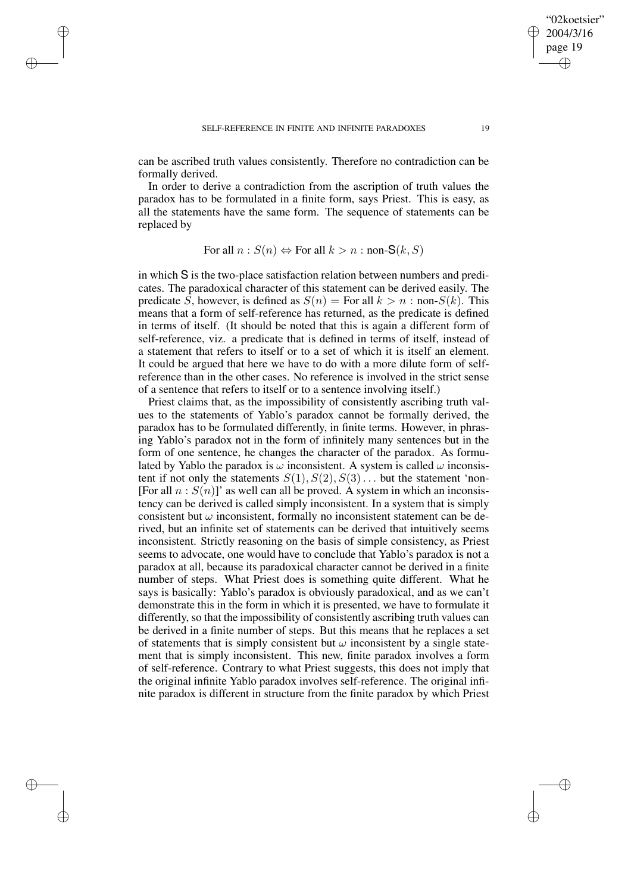✐

✐

✐

✐

can be ascribed truth values consistently. Therefore no contradiction can be formally derived.

In order to derive a contradiction from the ascription of truth values the paradox has to be formulated in a finite form, says Priest. This is easy, as all the statements have the same form. The sequence of statements can be replaced by

For all 
$$
n : S(n) \Leftrightarrow
$$
 For all  $k > n :$  non-S $(k, S)$ 

in which S is the two-place satisfaction relation between numbers and predicates. The paradoxical character of this statement can be derived easily. The predicate S, however, is defined as  $S(n)$  = For all  $k > n : \text{non-}S(k)$ . This means that a form of self-reference has returned, as the predicate is defined in terms of itself. (It should be noted that this is again a different form of self-reference, viz. a predicate that is defined in terms of itself, instead of a statement that refers to itself or to a set of which it is itself an element. It could be argued that here we have to do with a more dilute form of selfreference than in the other cases. No reference is involved in the strict sense of a sentence that refers to itself or to a sentence involving itself.)

Priest claims that, as the impossibility of consistently ascribing truth values to the statements of Yablo's paradox cannot be formally derived, the paradox has to be formulated differently, in finite terms. However, in phrasing Yablo's paradox not in the form of infinitely many sentences but in the form of one sentence, he changes the character of the paradox. As formulated by Yablo the paradox is  $\omega$  inconsistent. A system is called  $\omega$  inconsistent if not only the statements  $S(1), S(2), S(3)$ ... but the statement 'non-[For all  $n : S(n)$ ]' as well can all be proved. A system in which an inconsistency can be derived is called simply inconsistent. In a system that is simply consistent but  $\omega$  inconsistent, formally no inconsistent statement can be derived, but an infinite set of statements can be derived that intuitively seems inconsistent. Strictly reasoning on the basis of simple consistency, as Priest seems to advocate, one would have to conclude that Yablo's paradox is not a paradox at all, because its paradoxical character cannot be derived in a finite number of steps. What Priest does is something quite different. What he says is basically: Yablo's paradox is obviously paradoxical, and as we can't demonstrate this in the form in which it is presented, we have to formulate it differently, so that the impossibility of consistently ascribing truth values can be derived in a finite number of steps. But this means that he replaces a set of statements that is simply consistent but  $\omega$  inconsistent by a single statement that is simply inconsistent. This new, finite paradox involves a form of self-reference. Contrary to what Priest suggests, this does not imply that the original infinite Yablo paradox involves self-reference. The original infinite paradox is different in structure from the finite paradox by which Priest

"02koetsier" 2004/3/16 page 19

✐

✐

✐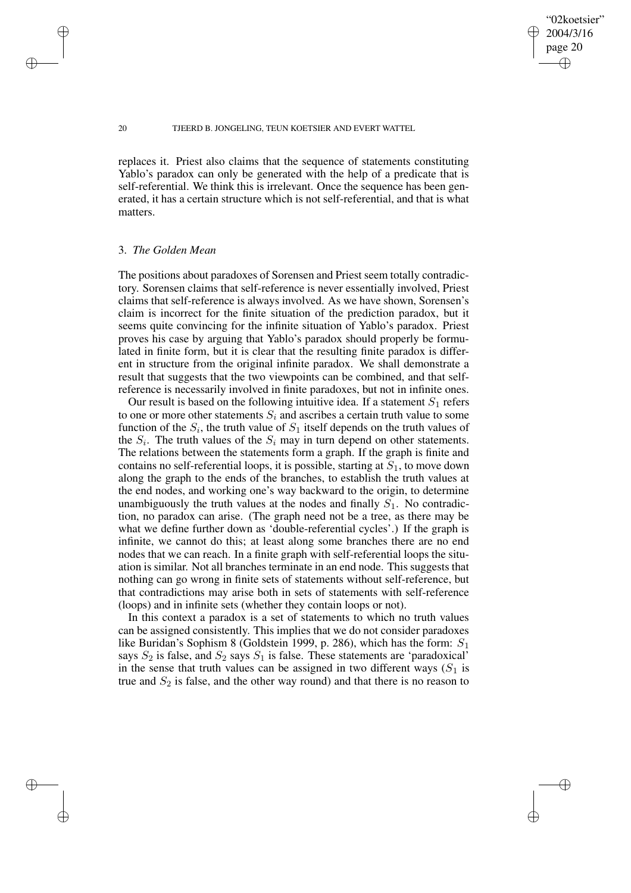"02koetsier" 2004/3/16 page 20

✐

✐

✐

✐

replaces it. Priest also claims that the sequence of statements constituting Yablo's paradox can only be generated with the help of a predicate that is self-referential. We think this is irrelevant. Once the sequence has been generated, it has a certain structure which is not self-referential, and that is what matters.

## 3. *The Golden Mean*

The positions about paradoxes of Sorensen and Priest seem totally contradictory. Sorensen claims that self-reference is never essentially involved, Priest claims that self-reference is always involved. As we have shown, Sorensen's claim is incorrect for the finite situation of the prediction paradox, but it seems quite convincing for the infinite situation of Yablo's paradox. Priest proves his case by arguing that Yablo's paradox should properly be formulated in finite form, but it is clear that the resulting finite paradox is different in structure from the original infinite paradox. We shall demonstrate a result that suggests that the two viewpoints can be combined, and that selfreference is necessarily involved in finite paradoxes, but not in infinite ones.

Our result is based on the following intuitive idea. If a statement  $S_1$  refers to one or more other statements  $S_i$  and ascribes a certain truth value to some function of the  $S_i$ , the truth value of  $S_1$  itself depends on the truth values of the  $S_i$ . The truth values of the  $S_i$  may in turn depend on other statements. The relations between the statements form a graph. If the graph is finite and contains no self-referential loops, it is possible, starting at  $S_1$ , to move down along the graph to the ends of the branches, to establish the truth values at the end nodes, and working one's way backward to the origin, to determine unambiguously the truth values at the nodes and finally  $S_1$ . No contradiction, no paradox can arise. (The graph need not be a tree, as there may be what we define further down as 'double-referential cycles'.) If the graph is infinite, we cannot do this; at least along some branches there are no end nodes that we can reach. In a finite graph with self-referential loops the situation is similar. Not all branches terminate in an end node. This suggests that nothing can go wrong in finite sets of statements without self-reference, but that contradictions may arise both in sets of statements with self-reference (loops) and in infinite sets (whether they contain loops or not).

In this context a paradox is a set of statements to which no truth values can be assigned consistently. This implies that we do not consider paradoxes like Buridan's Sophism 8 (Goldstein 1999, p. 286), which has the form:  $S_1$ says  $S_2$  is false, and  $S_2$  says  $S_1$  is false. These statements are 'paradoxical' in the sense that truth values can be assigned in two different ways  $(S_1$  is true and  $S_2$  is false, and the other way round) and that there is no reason to

✐

✐

✐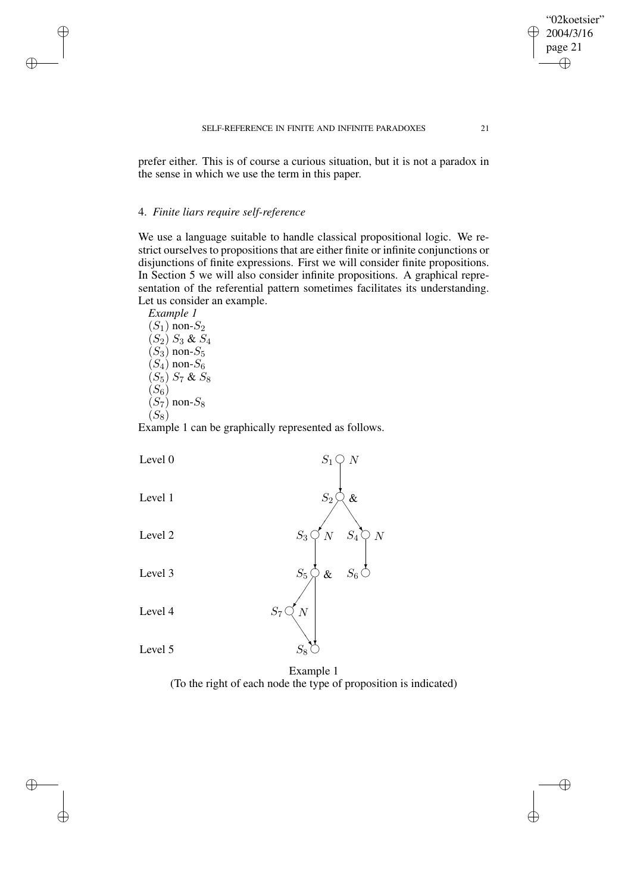prefer either. This is of course a curious situation, but it is not a paradox in the sense in which we use the term in this paper.

# 4. *Finite liars require self-reference*

We use a language suitable to handle classical propositional logic. We restrict ourselves to propositions that are either finite or infinite conjunctions or disjunctions of finite expressions. First we will consider finite propositions. In Section 5 we will also consider infinite propositions. A graphical representation of the referential pattern sometimes facilitates its understanding. Let us consider an example.

*Example 1*  $(S_1)$  non- $S_2$  $(S_2) S_3 \& S_4$  $(S_3)$  non- $S_5$  $(S_4)$  non- $S_6$  $(S_5) S_7$  &  $S_8$  $(S_6)$  $(S_7)$  non- $S_8$  $(S_8)$ 

✐

✐

✐

✐

Example 1 can be graphically represented as follows.

| Level 0 | $\mathcal{S}_1$<br>$\overline{N}$                      |
|---------|--------------------------------------------------------|
| Level 1 | $S_2$<br>$\&$                                          |
| Level 2 | N<br>$\overline{N}$<br>$\mathcal{S}_4$<br>${\cal S}_3$ |
| Level 3 | $\mathcal{S}_6$<br>$\mathcal{S}_5$<br>$\&$             |
| Level 4 | $\mathcal{S}_7$<br>$\overline{N}$                      |
| Level 5 | $S_8$<br>$1 \quad 1$<br>$\blacksquare$                 |

Example 1 (To the right of each node the type of proposition is indicated)

"02koetsier" 2004/3/16 page 21

✐

 $\bigoplus$ 

✐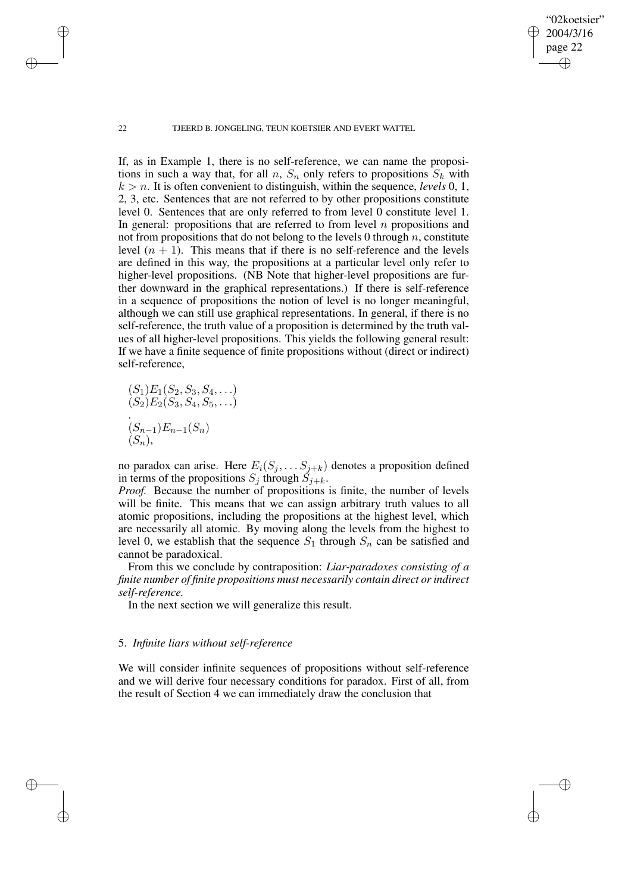"02koetsier" 2004/3/16 page 22

✐

✐

✐

✐

If, as in Example 1, there is no self-reference, we can name the propositions in such a way that, for all n,  $S_n$  only refers to propositions  $S_k$  with  $k > n$ . It is often convenient to distinguish, within the sequence, *levels* 0, 1, 2, 3, etc. Sentences that are not referred to by other propositions constitute level 0. Sentences that are only referred to from level 0 constitute level 1. In general: propositions that are referred to from level  $n$  propositions and not from propositions that do not belong to the levels 0 through  $n$ , constitute level  $(n + 1)$ . This means that if there is no self-reference and the levels are defined in this way, the propositions at a particular level only refer to higher-level propositions. (NB Note that higher-level propositions are further downward in the graphical representations.) If there is self-reference in a sequence of propositions the notion of level is no longer meaningful, although we can still use graphical representations. In general, if there is no self-reference, the truth value of a proposition is determined by the truth values of all higher-level propositions. This yields the following general result: If we have a finite sequence of finite propositions without (direct or indirect) self-reference,

$$
(S_1)E_1(S_2, S_3, S_4, \ldots)
$$
  
\n
$$
(S_2)E_2(S_3, S_4, S_5, \ldots)
$$
  
\n
$$
(S_{n-1})E_{n-1}(S_n)
$$
  
\n
$$
(S_n),
$$

no paradox can arise. Here  $E_i(S_j, \ldots, S_{j+k})$  denotes a proposition defined in terms of the propositions  $S_j$  through  $S_{j+k}$ .

*Proof.* Because the number of propositions is finite, the number of levels will be finite. This means that we can assign arbitrary truth values to all atomic propositions, including the propositions at the highest level, which are necessarily all atomic. By moving along the levels from the highest to level 0, we establish that the sequence  $S_1$  through  $S_n$  can be satisfied and cannot be paradoxical.

From this we conclude by contraposition: *Liar-paradoxes consisting of a finite number of finite propositions must necessarily contain direct orindirect self-reference.*

In the next section we will generalize this result.

# 5. *Infinite liars without self-reference*

We will consider infinite sequences of propositions without self-reference and we will derive four necessary conditions for paradox. First of all, from the result of Section 4 we can immediately draw the conclusion that

✐

✐

✐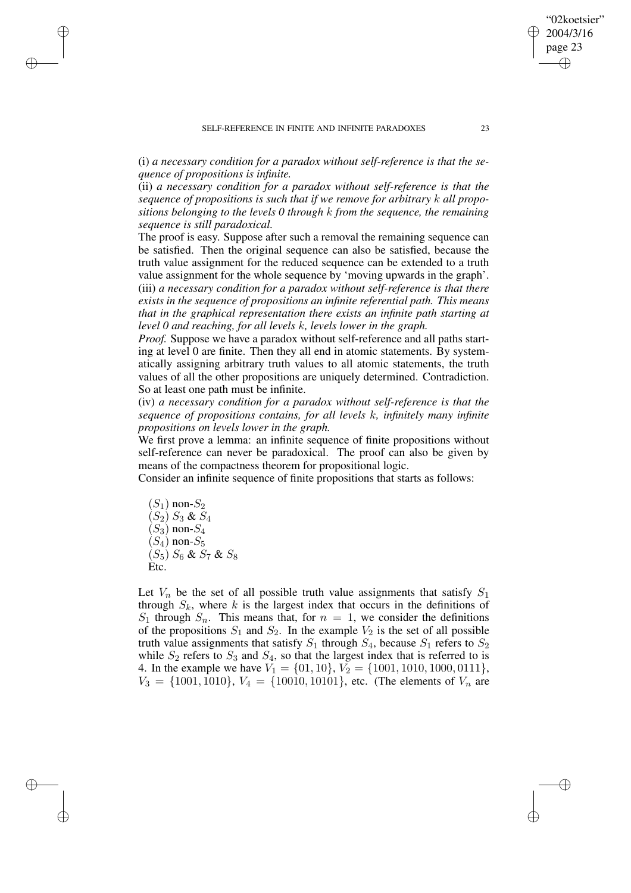(i) *a necessary condition for a paradox without self-reference is that the sequence of propositions is infinite.*

(ii) *a necessary condition for a paradox without self-reference is that the sequence of propositions is such that if we remove for arbitrary* k *all propositions belonging to the levels 0 through* k *from the sequence, the remaining sequence is still paradoxical.*

The proof is easy. Suppose after such a removal the remaining sequence can be satisfied. Then the original sequence can also be satisfied, because the truth value assignment for the reduced sequence can be extended to a truth value assignment for the whole sequence by 'moving upwards in the graph'. (iii) *a necessary condition for a paradox without self-reference is that there exists in the sequence of propositions an infinite referential path. This means that in the graphical representation there exists an infinite path starting at level 0 and reaching, for all levels* k*, levels lower in the graph.*

*Proof.* Suppose we have a paradox without self-reference and all paths starting at level 0 are finite. Then they all end in atomic statements. By systematically assigning arbitrary truth values to all atomic statements, the truth values of all the other propositions are uniquely determined. Contradiction. So at least one path must be infinite.

(iv) *a necessary condition for a paradox without self-reference is that the sequence of propositions contains, for all levels* k*, infinitely many infinite propositions on levels lower in the graph.*

We first prove a lemma: an infinite sequence of finite propositions without self-reference can never be paradoxical. The proof can also be given by means of the compactness theorem for propositional logic.

Consider an infinite sequence of finite propositions that starts as follows:

 $(S_1)$  non- $S_2$  $(S_2) S_3 \& S_4$  $(S_3)$  non- $S_4$  $(S_4)$  non- $S_5$  $(S_5)$   $S_6$  &  $S_7$  &  $S_8$ Etc.

✐

✐

✐

✐

Let  $V_n$  be the set of all possible truth value assignments that satisfy  $S_1$ through  $S_k$ , where k is the largest index that occurs in the definitions of  $S_1$  through  $S_n$ . This means that, for  $n = 1$ , we consider the definitions of the propositions  $S_1$  and  $S_2$ . In the example  $V_2$  is the set of all possible truth value assignments that satisfy  $S_1$  through  $S_4$ , because  $S_1$  refers to  $S_2$ while  $S_2$  refers to  $S_3$  and  $S_4$ , so that the largest index that is referred to is 4. In the example we have  $V_1 = \{01, 10\}$ ,  $V_2 = \{1001, 1010, 1000, 0111\}$ ,  $V_3 = \{1001, 1010\}, V_4 = \{10010, 10101\},$  etc. (The elements of  $V_n$  are

"02koetsier" 2004/3/16 page 23

✐

✐

✐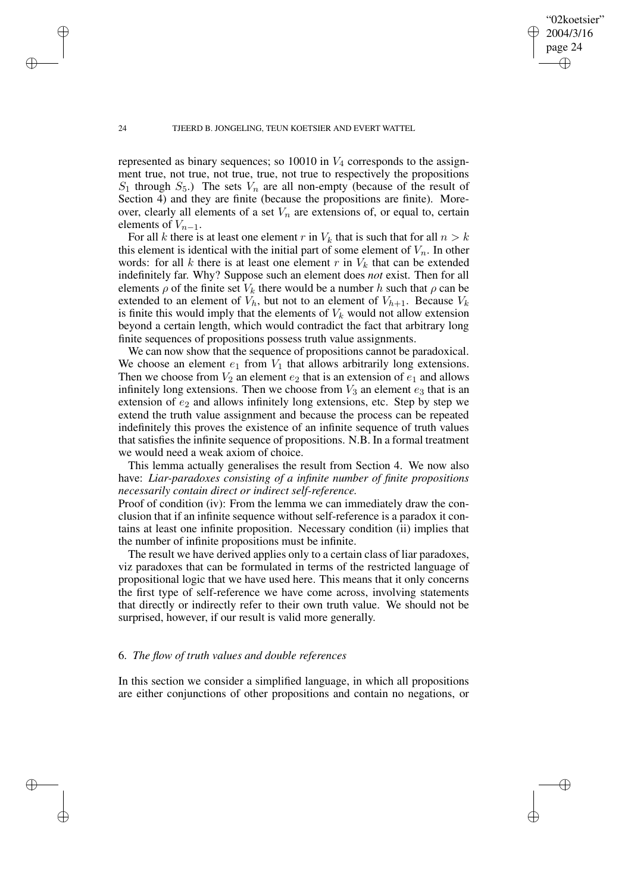"02koetsier" 2004/3/16 page 24

✐

✐

✐

✐

represented as binary sequences; so 10010 in  $V_4$  corresponds to the assignment true, not true, not true, true, not true to respectively the propositions  $S_1$  through  $S_5$ .) The sets  $V_n$  are all non-empty (because of the result of Section 4) and they are finite (because the propositions are finite). Moreover, clearly all elements of a set  $V_n$  are extensions of, or equal to, certain elements of  $V_{n-1}$ .

For all k there is at least one element r in  $V_k$  that is such that for all  $n > k$ this element is identical with the initial part of some element of  $V_n$ . In other words: for all k there is at least one element r in  $V_k$  that can be extended indefinitely far. Why? Suppose such an element does *not* exist. Then for all elements  $\rho$  of the finite set  $V_k$  there would be a number h such that  $\rho$  can be extended to an element of  $V_h$ , but not to an element of  $V_{h+1}$ . Because  $V_k$ is finite this would imply that the elements of  $V_k$  would not allow extension beyond a certain length, which would contradict the fact that arbitrary long finite sequences of propositions possess truth value assignments.

We can now show that the sequence of propositions cannot be paradoxical. We choose an element  $e_1$  from  $V_1$  that allows arbitrarily long extensions. Then we choose from  $V_2$  an element  $e_2$  that is an extension of  $e_1$  and allows infinitely long extensions. Then we choose from  $V_3$  an element  $e_3$  that is an extension of  $e_2$  and allows infinitely long extensions, etc. Step by step we extend the truth value assignment and because the process can be repeated indefinitely this proves the existence of an infinite sequence of truth values that satisfies the infinite sequence of propositions. N.B. In a formal treatment we would need a weak axiom of choice.

This lemma actually generalises the result from Section 4. We now also have: *Liar-paradoxes consisting of a infinite number of finite propositions necessarily contain direct or indirect self-reference.*

Proof of condition (iv): From the lemma we can immediately draw the conclusion that if an infinite sequence without self-reference is a paradox it contains at least one infinite proposition. Necessary condition (ii) implies that the number of infinite propositions must be infinite.

The result we have derived applies only to a certain class of liar paradoxes, viz paradoxes that can be formulated in terms of the restricted language of propositional logic that we have used here. This means that it only concerns the first type of self-reference we have come across, involving statements that directly or indirectly refer to their own truth value. We should not be surprised, however, if our result is valid more generally.

# 6. *The flow of truth values and double references*

In this section we consider a simplified language, in which all propositions are either conjunctions of other propositions and contain no negations, or

✐

✐

✐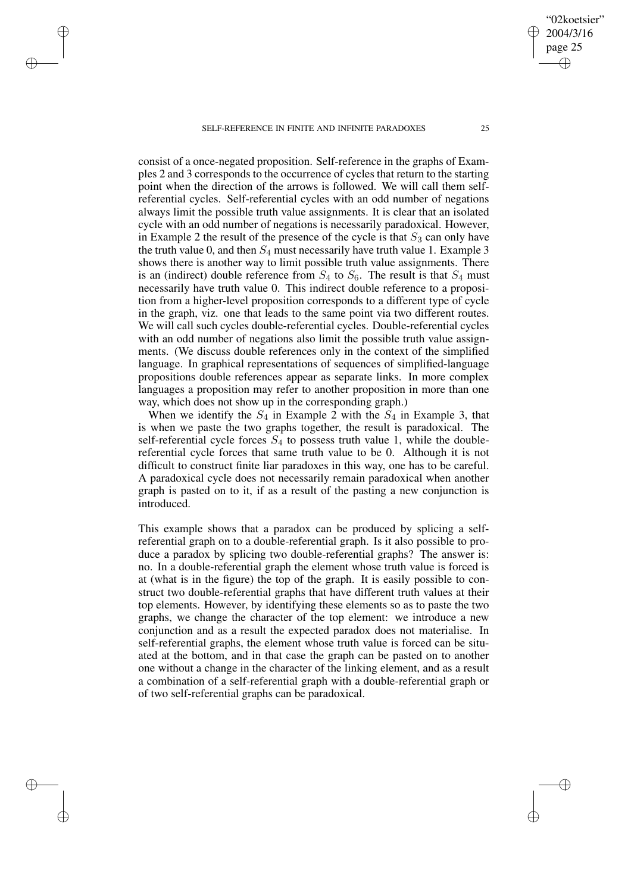✐

✐

✐

✐

consist of a once-negated proposition. Self-reference in the graphs of Examples 2 and 3 corresponds to the occurrence of cycles that return to the starting point when the direction of the arrows is followed. We will call them selfreferential cycles. Self-referential cycles with an odd number of negations always limit the possible truth value assignments. It is clear that an isolated cycle with an odd number of negations is necessarily paradoxical. However, in Example 2 the result of the presence of the cycle is that  $S_3$  can only have the truth value 0, and then  $S_4$  must necessarily have truth value 1. Example 3 shows there is another way to limit possible truth value assignments. There is an (indirect) double reference from  $S_4$  to  $S_6$ . The result is that  $S_4$  must necessarily have truth value 0. This indirect double reference to a proposition from a higher-level proposition corresponds to a different type of cycle in the graph, viz. one that leads to the same point via two different routes. We will call such cycles double-referential cycles. Double-referential cycles with an odd number of negations also limit the possible truth value assignments. (We discuss double references only in the context of the simplified language. In graphical representations of sequences of simplified-language propositions double references appear as separate links. In more complex languages a proposition may refer to another proposition in more than one way, which does not show up in the corresponding graph.)

When we identify the  $S_4$  in Example 2 with the  $S_4$  in Example 3, that is when we paste the two graphs together, the result is paradoxical. The self-referential cycle forces  $S_4$  to possess truth value 1, while the doublereferential cycle forces that same truth value to be 0. Although it is not difficult to construct finite liar paradoxes in this way, one has to be careful. A paradoxical cycle does not necessarily remain paradoxical when another graph is pasted on to it, if as a result of the pasting a new conjunction is introduced.

This example shows that a paradox can be produced by splicing a selfreferential graph on to a double-referential graph. Is it also possible to produce a paradox by splicing two double-referential graphs? The answer is: no. In a double-referential graph the element whose truth value is forced is at (what is in the figure) the top of the graph. It is easily possible to construct two double-referential graphs that have different truth values at their top elements. However, by identifying these elements so as to paste the two graphs, we change the character of the top element: we introduce a new conjunction and as a result the expected paradox does not materialise. In self-referential graphs, the element whose truth value is forced can be situated at the bottom, and in that case the graph can be pasted on to another one without a change in the character of the linking element, and as a result a combination of a self-referential graph with a double-referential graph or of two self-referential graphs can be paradoxical.

"02koetsier" 2004/3/16 page 25

✐

✐

✐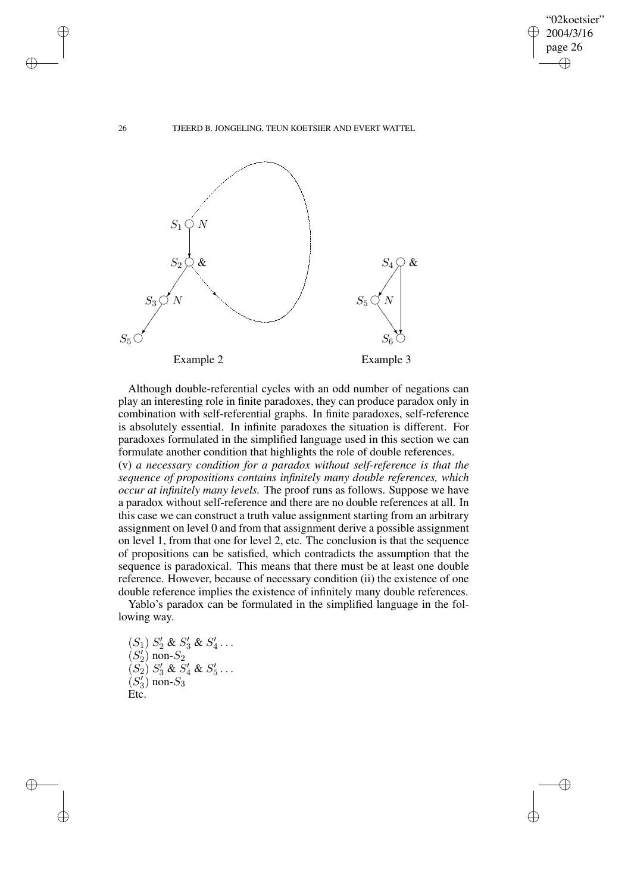✐

✐

26 TJEERD B. JONGELING, TEUN KOETSIER AND EVERT WATTEL



Although double-referential cycles with an odd number of negations can play an interesting role in finite paradoxes, they can produce paradox only in combination with self-referential graphs. In finite paradoxes, self-reference is absolutely essential. In infinite paradoxes the situation is different. For paradoxes formulated in the simplified language used in this section we can formulate another condition that highlights the role of double references. (v) *a necessary condition for a paradox without self-reference is that the sequence of propositions contains infinitely many double references, which occur at infinitely many levels.* The proof runs as follows. Suppose we have a paradox without self-reference and there are no double references at all. In this case we can construct a truth value assignment starting from an arbitrary

assignment on level 0 and from that assignment derive a possible assignment on level 1, from that one for level 2, etc. The conclusion is that the sequence of propositions can be satisfied, which contradicts the assumption that the sequence is paradoxical. This means that there must be at least one double reference. However, because of necessary condition (ii) the existence of one double reference implies the existence of infinitely many double references.

Yablo's paradox can be formulated in the simplified language in the following way.

 $(S_1) S'_2 \& S'_3 \& S'_4 \dots$  $(S_2')$  non- $S_2$  $(S_2) S_3' \& S_4' \& S_5' \dots$  $(S_3)$  non- $S_3$ Etc.

✐

✐

✐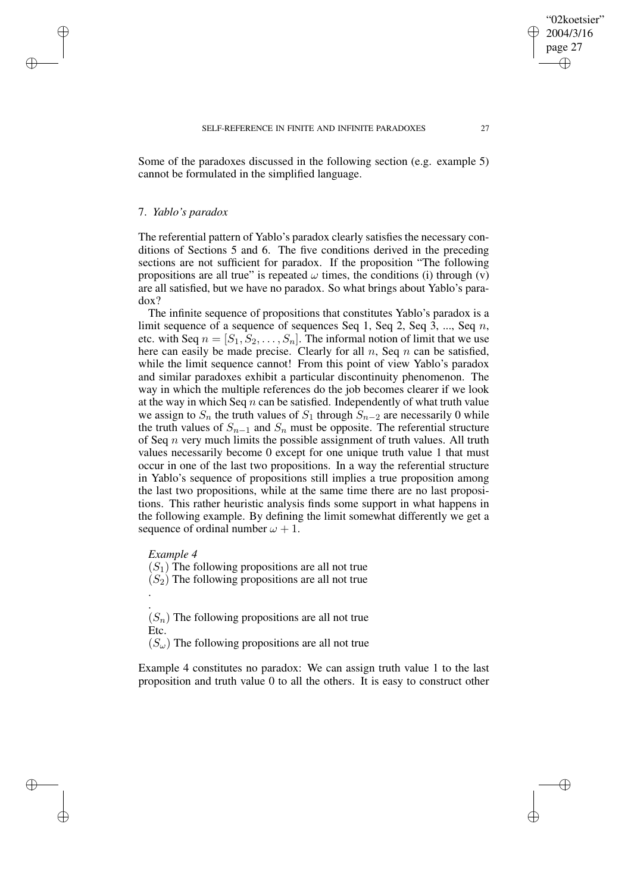Some of the paradoxes discussed in the following section (e.g. example 5) cannot be formulated in the simplified language.

### 7. *Yablo's paradox*

✐

✐

✐

✐

The referential pattern of Yablo's paradox clearly satisfies the necessary conditions of Sections 5 and 6. The five conditions derived in the preceding sections are not sufficient for paradox. If the proposition "The following propositions are all true" is repeated  $\omega$  times, the conditions (i) through (v) are all satisfied, but we have no paradox. So what brings about Yablo's paradox?

The infinite sequence of propositions that constitutes Yablo's paradox is a limit sequence of a sequence of sequences Seq 1, Seq 2, Seq 3, ..., Seq  $n$ , etc. with Seq  $n = [S_1, S_2, \ldots, S_n]$ . The informal notion of limit that we use here can easily be made precise. Clearly for all  $n$ , Seq  $n$  can be satisfied, while the limit sequence cannot! From this point of view Yablo's paradox and similar paradoxes exhibit a particular discontinuity phenomenon. The way in which the multiple references do the job becomes clearer if we look at the way in which Seq  $n$  can be satisfied. Independently of what truth value we assign to  $S_n$  the truth values of  $S_1$  through  $S_{n-2}$  are necessarily 0 while the truth values of  $S_{n-1}$  and  $S_n$  must be opposite. The referential structure of Seq  $n$  very much limits the possible assignment of truth values. All truth values necessarily become 0 except for one unique truth value 1 that must occur in one of the last two propositions. In a way the referential structure in Yablo's sequence of propositions still implies a true proposition among the last two propositions, while at the same time there are no last propositions. This rather heuristic analysis finds some support in what happens in the following example. By defining the limit somewhat differently we get a sequence of ordinal number  $\omega + 1$ .

# *Example 4*

.

 $(S_1)$  The following propositions are all not true

 $(S_2)$  The following propositions are all not true

.  $(S_n)$  The following propositions are all not true Etc.

 $(S_{\omega})$  The following propositions are all not true

Example 4 constitutes no paradox: We can assign truth value 1 to the last proposition and truth value 0 to all the others. It is easy to construct other

"02koetsier" 2004/3/16 page 27

✐

✐

✐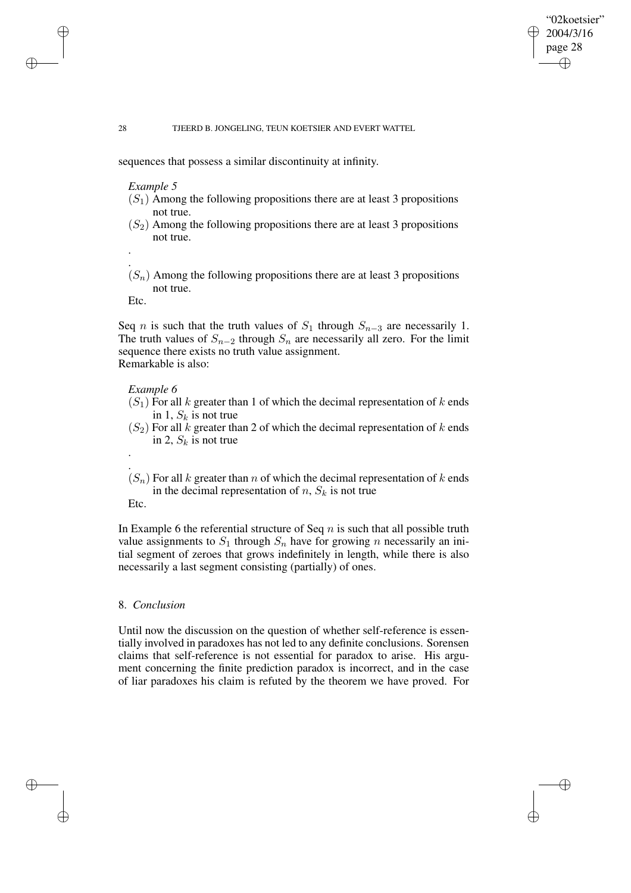## "02koetsier" 2004/3/16 page 28 ✐ ✐

✐

✐

#### 28 TJEERD B. JONGELING, TEUN KOETSIER AND EVERT WATTEL

sequences that possess a similar discontinuity at infinity.

*Example 5*

- $(S_1)$  Among the following propositions there are at least 3 propositions not true.
- $(S_2)$  Among the following propositions there are at least 3 propositions not true.
- $(S_n)$  Among the following propositions there are at least 3 propositions not true.

Etc.

.

. .

Seq *n* is such that the truth values of  $S_1$  through  $S_{n-3}$  are necessarily 1. The truth values of  $S_{n-2}$  through  $S_n$  are necessarily all zero. For the limit sequence there exists no truth value assignment. Remarkable is also:

### *Example 6*

- $(S_1)$  For all k greater than 1 of which the decimal representation of k ends in 1,  $S_k$  is not true
- $(S_2)$  For all k greater than 2 of which the decimal representation of k ends in 2,  $S_k$  is not true
- .  $(S_n)$  For all k greater than n of which the decimal representation of k ends in the decimal representation of  $n$ ,  $S_k$  is not true Etc.

In Example 6 the referential structure of Seq  $n$  is such that all possible truth value assignments to  $S_1$  through  $S_n$  have for growing n necessarily an initial segment of zeroes that grows indefinitely in length, while there is also necessarily a last segment consisting (partially) of ones.

## 8. *Conclusion*

Until now the discussion on the question of whether self-reference is essentially involved in paradoxes has not led to any definite conclusions. Sorensen claims that self-reference is not essential for paradox to arise. His argument concerning the finite prediction paradox is incorrect, and in the case of liar paradoxes his claim is refuted by the theorem we have proved. For

✐

✐

✐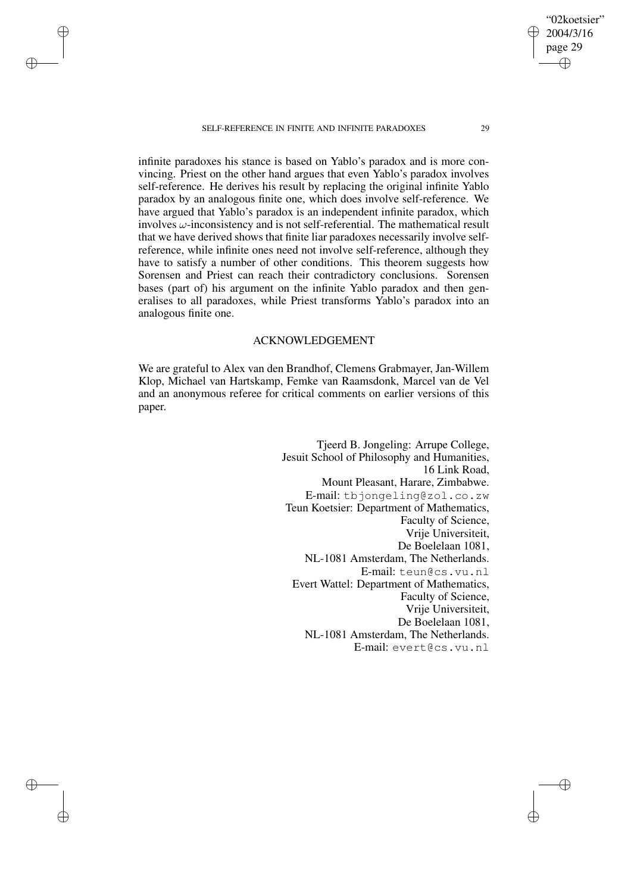✐

✐

✐

✐

infinite paradoxes his stance is based on Yablo's paradox and is more convincing. Priest on the other hand argues that even Yablo's paradox involves self-reference. He derives his result by replacing the original infinite Yablo paradox by an analogous finite one, which does involve self-reference. We have argued that Yablo's paradox is an independent infinite paradox, which involves  $\omega$ -inconsistency and is not self-referential. The mathematical result that we have derived shows that finite liar paradoxes necessarily involve selfreference, while infinite ones need not involve self-reference, although they have to satisfy a number of other conditions. This theorem suggests how Sorensen and Priest can reach their contradictory conclusions. Sorensen bases (part of) his argument on the infinite Yablo paradox and then generalises to all paradoxes, while Priest transforms Yablo's paradox into an analogous finite one.

# ACKNOWLEDGEMENT

We are grateful to Alex van den Brandhof, Clemens Grabmayer, Jan-Willem Klop, Michael van Hartskamp, Femke van Raamsdonk, Marcel van de Vel and an anonymous referee for critical comments on earlier versions of this paper.

> Tjeerd B. Jongeling: Arrupe College, Jesuit School of Philosophy and Humanities, 16 Link Road, Mount Pleasant, Harare, Zimbabwe. E-mail: tbjongeling@zol.co.zw Teun Koetsier: Department of Mathematics, Faculty of Science, Vrije Universiteit, De Boelelaan 1081, NL-1081 Amsterdam, The Netherlands. E-mail: teun@cs.vu.nl Evert Wattel: Department of Mathematics, Faculty of Science, Vrije Universiteit, De Boelelaan 1081, NL-1081 Amsterdam, The Netherlands. E-mail: evert@cs.vu.nl

"02koetsier" 2004/3/16 page 29

✐

✐

✐